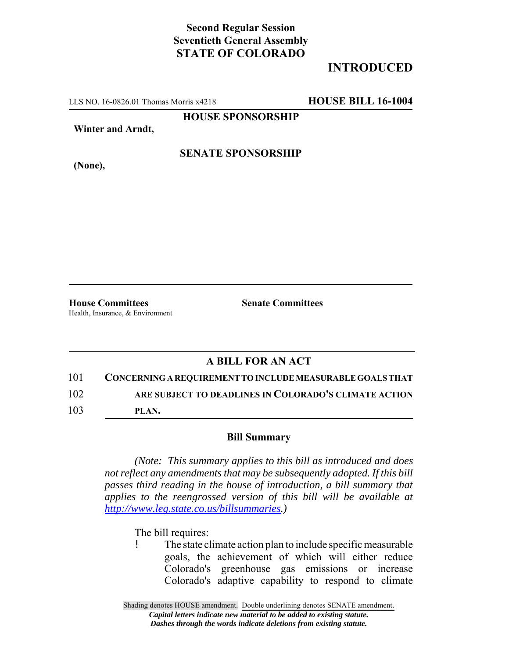## **Second Regular Session Seventieth General Assembly STATE OF COLORADO**

## **INTRODUCED**

LLS NO. 16-0826.01 Thomas Morris x4218 **HOUSE BILL 16-1004**

**HOUSE SPONSORSHIP**

**Winter and Arndt,**

**SENATE SPONSORSHIP**

**(None),**

**House Committees Senate Committees** Health, Insurance, & Environment

## **A BILL FOR AN ACT**

101 **CONCERNING A REQUIREMENT TO INCLUDE MEASURABLE GOALS THAT**

102 **ARE SUBJECT TO DEADLINES IN COLORADO'S CLIMATE ACTION**

103 **PLAN.**

## **Bill Summary**

*(Note: This summary applies to this bill as introduced and does not reflect any amendments that may be subsequently adopted. If this bill passes third reading in the house of introduction, a bill summary that applies to the reengrossed version of this bill will be available at http://www.leg.state.co.us/billsummaries.)*

The bill requires:

! The state climate action plan to include specific measurable goals, the achievement of which will either reduce Colorado's greenhouse gas emissions or increase Colorado's adaptive capability to respond to climate

Shading denotes HOUSE amendment. Double underlining denotes SENATE amendment. *Capital letters indicate new material to be added to existing statute. Dashes through the words indicate deletions from existing statute.*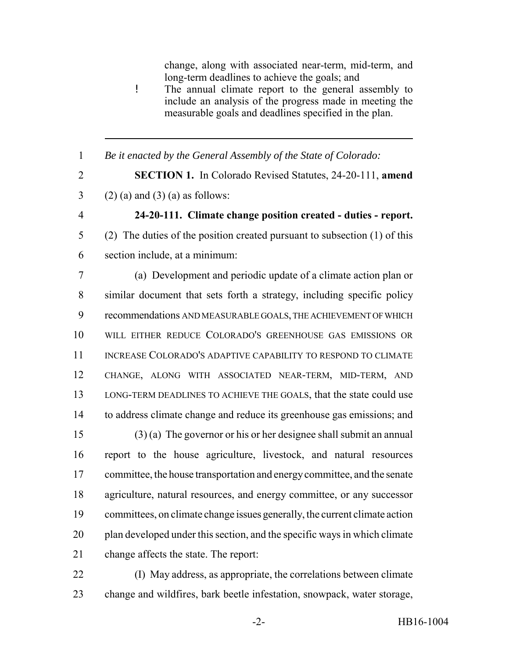change, along with associated near-term, mid-term, and long-term deadlines to achieve the goals; and ! The annual climate report to the general assembly to include an analysis of the progress made in meeting the measurable goals and deadlines specified in the plan. *Be it enacted by the General Assembly of the State of Colorado:* **SECTION 1.** In Colorado Revised Statutes, 24-20-111, **amend** 3 (2) (a) and (3) (a) as follows: **24-20-111. Climate change position created - duties - report.** (2) The duties of the position created pursuant to subsection (1) of this section include, at a minimum: (a) Development and periodic update of a climate action plan or similar document that sets forth a strategy, including specific policy recommendations AND MEASURABLE GOALS, THE ACHIEVEMENT OF WHICH WILL EITHER REDUCE COLORADO'S GREENHOUSE GAS EMISSIONS OR INCREASE COLORADO'S ADAPTIVE CAPABILITY TO RESPOND TO CLIMATE CHANGE, ALONG WITH ASSOCIATED NEAR-TERM, MID-TERM, AND LONG-TERM DEADLINES TO ACHIEVE THE GOALS, that the state could use to address climate change and reduce its greenhouse gas emissions; and (3) (a) The governor or his or her designee shall submit an annual report to the house agriculture, livestock, and natural resources committee, the house transportation and energy committee, and the senate agriculture, natural resources, and energy committee, or any successor committees, on climate change issues generally, the current climate action plan developed under this section, and the specific ways in which climate change affects the state. The report: (I) May address, as appropriate, the correlations between climate

change and wildfires, bark beetle infestation, snowpack, water storage,